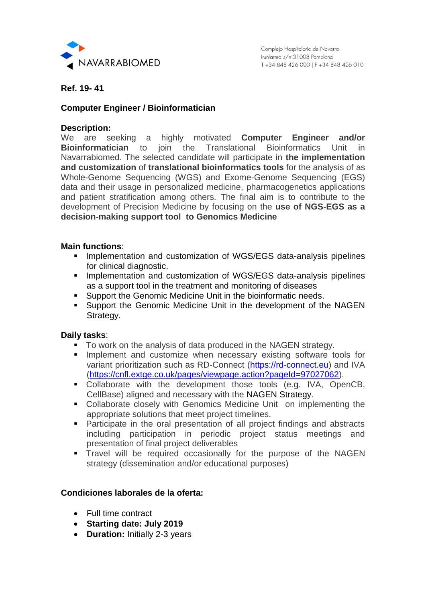

**Ref. 19- 41**

# **Computer Engineer / Bioinformatician**

### **Description:**

We are seeking a highly motivated **Computer Engineer and/or Bioinformatician** to join the Translational Bioinformatics Unit in Navarrabiomed. The selected candidate will participate in **the implementation and customization** of **translational bioinformatics tools** for the analysis of as Whole-Genome Sequencing (WGS) and Exome-Genome Sequencing (EGS) data and their usage in personalized medicine, pharmacogenetics applications and patient stratification among others. The final aim is to contribute to the development of Precision Medicine by focusing on the **use of NGS-EGS as a decision-making support tool to Genomics Medicine** 

#### **Main functions**:

- **Implementation and customization of WGS/EGS data-analysis pipelines** for clinical diagnostic.
- **Implementation and customization of WGS/EGS data-analysis pipelines** as a support tool in the treatment and monitoring of diseases
- **Support the Genomic Medicine Unit in the bioinformatic needs.**
- Support the Genomic Medicine Unit in the development of the NAGEN Strategy.

## **Daily tasks**:

- To work on the analysis of data produced in the NAGEN strategy.
- **Implement and customize when necessary existing software tools for** variant prioritization such as RD-Connect [\(https://rd-connect.eu\)](https://rd-connect.eu/) and IVA [\(https://cnfl.extge.co.uk/pages/viewpage.action?pageId=97027062\)](https://cnfl.extge.co.uk/pages/viewpage.action?pageId=97027062).
- **Collaborate with the development those tools (e.g. IVA, OpenCB,** CellBase) aligned and necessary with the NAGEN Strategy.
- Collaborate closely with Genomics Medicine Unit on implementing the appropriate solutions that meet project timelines.
- Participate in the oral presentation of all project findings and abstracts including participation in periodic project status meetings and presentation of final project deliverables
- **Travel will be required occasionally for the purpose of the NAGEN** strategy (dissemination and/or educational purposes)

# **Condiciones laborales de la oferta:**

- Full time contract
- **Starting date: July 2019**
- **Duration:** Initially 2-3 years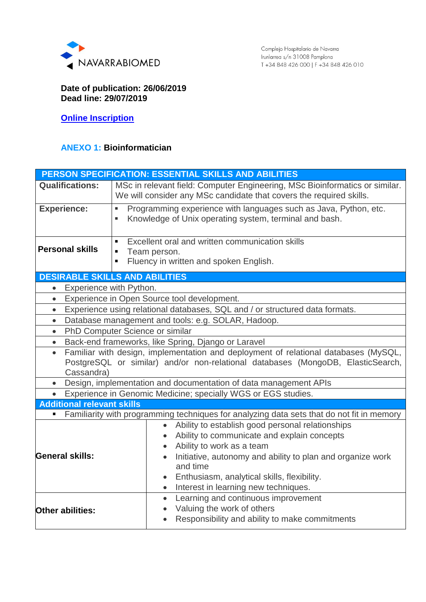

### **Date of publication: 26/06/2019 Dead line: 29/07/2019**

**[Online Inscription](https://www.navarrabiomed.es/es/trabaja-con-nosotros?subject=Ref.%2019-41)**

# **ANEXO 1: Bioinformatician**

| <b>PERSON SPECIFICATION: ESSENTIAL SKILLS AND ABILITIES</b>                                                                                                                                       |                                                                                                                                                                                                                                                                                                           |
|---------------------------------------------------------------------------------------------------------------------------------------------------------------------------------------------------|-----------------------------------------------------------------------------------------------------------------------------------------------------------------------------------------------------------------------------------------------------------------------------------------------------------|
| <b>Qualifications:</b>                                                                                                                                                                            | MSc in relevant field: Computer Engineering, MSc Bioinformatics or similar.<br>We will consider any MSc candidate that covers the required skills.                                                                                                                                                        |
| <b>Experience:</b>                                                                                                                                                                                | Programming experience with languages such as Java, Python, etc.<br>×,<br>Knowledge of Unix operating system, terminal and bash.<br>٠                                                                                                                                                                     |
| <b>Personal skills</b>                                                                                                                                                                            | Excellent oral and written communication skills<br>$\blacksquare$<br>Team person.<br>$\blacksquare$<br>Fluency in written and spoken English.<br>٠                                                                                                                                                        |
|                                                                                                                                                                                                   | <b>DESIRABLE SKILLS AND ABILITIES</b>                                                                                                                                                                                                                                                                     |
| Experience with Python.                                                                                                                                                                           |                                                                                                                                                                                                                                                                                                           |
| Experience in Open Source tool development.<br>$\bullet$                                                                                                                                          |                                                                                                                                                                                                                                                                                                           |
| Experience using relational databases, SQL and / or structured data formats.<br>$\bullet$                                                                                                         |                                                                                                                                                                                                                                                                                                           |
| Database management and tools: e.g. SOLAR, Hadoop.<br>$\bullet$                                                                                                                                   |                                                                                                                                                                                                                                                                                                           |
| PhD Computer Science or similar<br>$\bullet$                                                                                                                                                      |                                                                                                                                                                                                                                                                                                           |
| Back-end frameworks, like Spring, Django or Laravel<br>$\bullet$                                                                                                                                  |                                                                                                                                                                                                                                                                                                           |
| Familiar with design, implementation and deployment of relational databases (MySQL,<br>$\bullet$<br>PostgreSQL or similar) and/or non-relational databases (MongoDB, ElasticSearch,<br>Cassandra) |                                                                                                                                                                                                                                                                                                           |
| Design, implementation and documentation of data management APIs<br>$\bullet$                                                                                                                     |                                                                                                                                                                                                                                                                                                           |
| Experience in Genomic Medicine; specially WGS or EGS studies.                                                                                                                                     |                                                                                                                                                                                                                                                                                                           |
| <b>Additional relevant skills</b>                                                                                                                                                                 |                                                                                                                                                                                                                                                                                                           |
| Familiarity with programming techniques for analyzing data sets that do not fit in memory                                                                                                         |                                                                                                                                                                                                                                                                                                           |
| <b>General skills:</b>                                                                                                                                                                            | Ability to establish good personal relationships<br>$\bullet$<br>Ability to communicate and explain concepts<br>$\bullet$<br>Ability to work as a team<br>$\bullet$<br>Initiative, autonomy and ability to plan and organize work<br>and time<br>Enthusiasm, analytical skills, flexibility.<br>$\bullet$ |
|                                                                                                                                                                                                   | Interest in learning new techniques.<br>$\bullet$                                                                                                                                                                                                                                                         |
|                                                                                                                                                                                                   | Learning and continuous improvement<br>$\bullet$                                                                                                                                                                                                                                                          |
| Other abilities:                                                                                                                                                                                  | Valuing the work of others<br>$\bullet$<br>Responsibility and ability to make commitments                                                                                                                                                                                                                 |